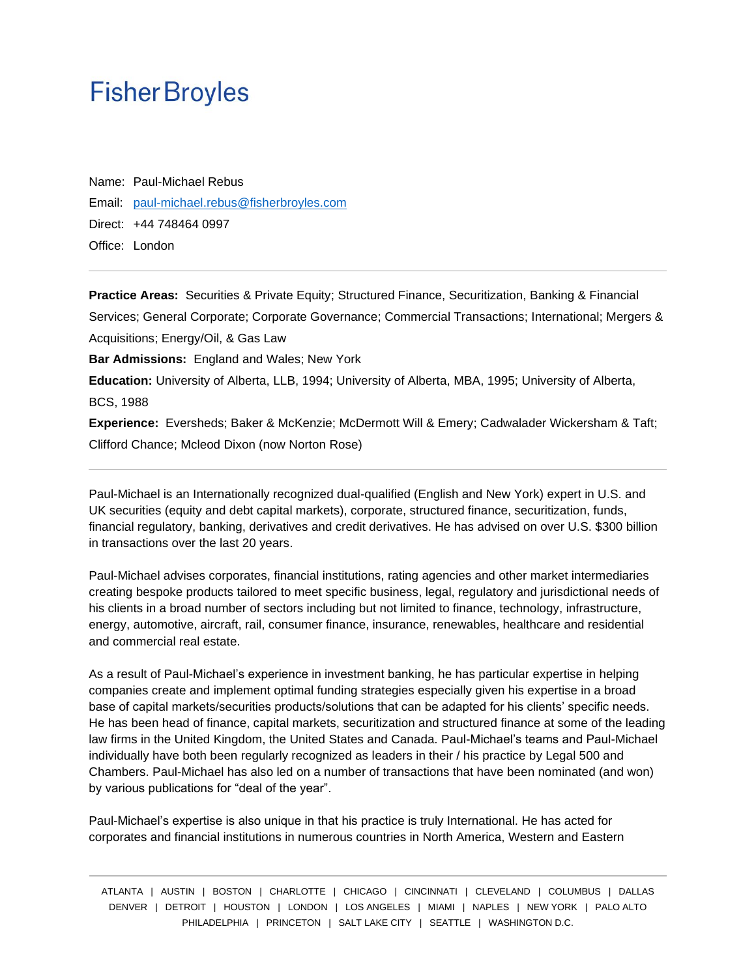Name: Paul-Michael Rebus Email: [paul-michael.rebus@fisherbroyles.com](mailto:paul-michael.rebus@fisherbroyles.com) Direct: +44 748464 0997 Office: London

**Practice Areas:** Securities & Private Equity; Structured Finance, Securitization, Banking & Financial Services; General Corporate; Corporate Governance; Commercial Transactions; International; Mergers & Acquisitions; Energy/Oil, & Gas Law **Bar Admissions:** England and Wales; New York **Education:** University of Alberta, LLB, 1994; University of Alberta, MBA, 1995; University of Alberta, BCS, 1988 **Experience:** Eversheds; Baker & McKenzie; McDermott Will & Emery; Cadwalader Wickersham & Taft; Clifford Chance; Mcleod Dixon (now Norton Rose)

Paul-Michael is an Internationally recognized dual-qualified (English and New York) expert in U.S. and UK securities (equity and debt capital markets), corporate, structured finance, securitization, funds, financial regulatory, banking, derivatives and credit derivatives. He has advised on over U.S. \$300 billion in transactions over the last 20 years.

Paul-Michael advises corporates, financial institutions, rating agencies and other market intermediaries creating bespoke products tailored to meet specific business, legal, regulatory and jurisdictional needs of his clients in a broad number of sectors including but not limited to finance, technology, infrastructure, energy, automotive, aircraft, rail, consumer finance, insurance, renewables, healthcare and residential and commercial real estate.

As a result of Paul-Michael's experience in investment banking, he has particular expertise in helping companies create and implement optimal funding strategies especially given his expertise in a broad base of capital markets/securities products/solutions that can be adapted for his clients' specific needs. He has been head of finance, capital markets, securitization and structured finance at some of the leading law firms in the United Kingdom, the United States and Canada. Paul-Michael's teams and Paul-Michael individually have both been regularly recognized as leaders in their / his practice by Legal 500 and Chambers. Paul-Michael has also led on a number of transactions that have been nominated (and won) by various publications for "deal of the year".

Paul-Michael's expertise is also unique in that his practice is truly International. He has acted for corporates and financial institutions in numerous countries in North America, Western and Eastern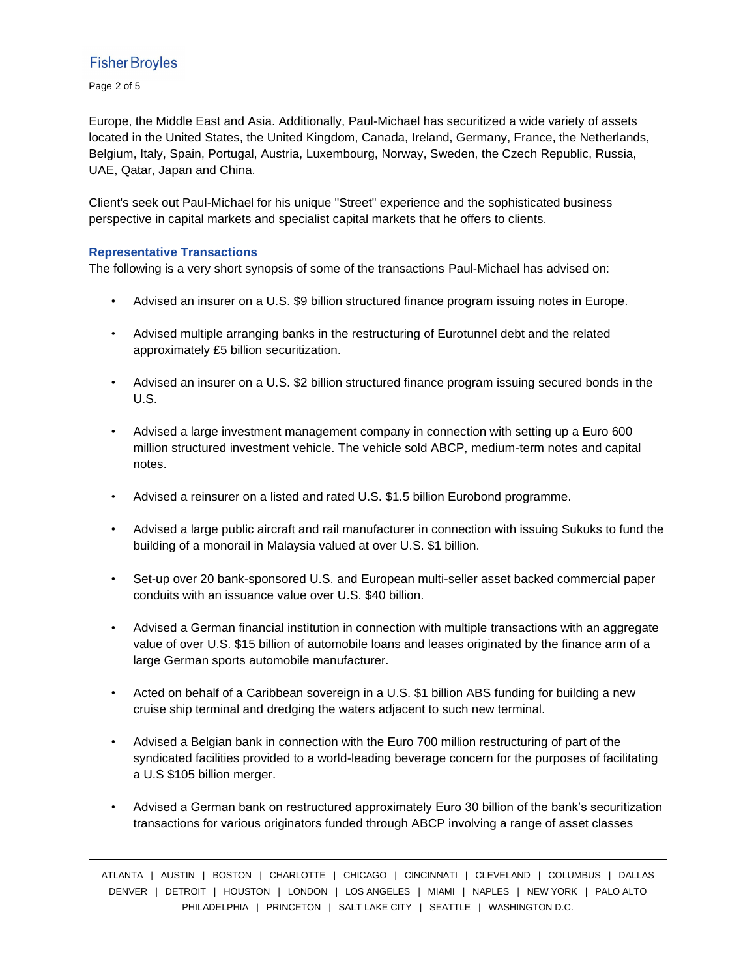Page 2 of 5

Europe, the Middle East and Asia. Additionally, Paul-Michael has securitized a wide variety of assets located in the United States, the United Kingdom, Canada, Ireland, Germany, France, the Netherlands, Belgium, Italy, Spain, Portugal, Austria, Luxembourg, Norway, Sweden, the Czech Republic, Russia, UAE, Qatar, Japan and China.

Client's seek out Paul-Michael for his unique "Street" experience and the sophisticated business perspective in capital markets and specialist capital markets that he offers to clients.

## **Representative Transactions**

The following is a very short synopsis of some of the transactions Paul-Michael has advised on:

- Advised an insurer on a U.S. \$9 billion structured finance program issuing notes in Europe.
- Advised multiple arranging banks in the restructuring of Eurotunnel debt and the related approximately £5 billion securitization.
- Advised an insurer on a U.S. \$2 billion structured finance program issuing secured bonds in the U.S.
- Advised a large investment management company in connection with setting up a Euro 600 million structured investment vehicle. The vehicle sold ABCP, medium-term notes and capital notes.
- Advised a reinsurer on a listed and rated U.S. \$1.5 billion Eurobond programme.
- Advised a large public aircraft and rail manufacturer in connection with issuing Sukuks to fund the building of a monorail in Malaysia valued at over U.S. \$1 billion.
- Set-up over 20 bank-sponsored U.S. and European multi-seller asset backed commercial paper conduits with an issuance value over U.S. \$40 billion.
- Advised a German financial institution in connection with multiple transactions with an aggregate value of over U.S. \$15 billion of automobile loans and leases originated by the finance arm of a large German sports automobile manufacturer.
- Acted on behalf of a Caribbean sovereign in a U.S. \$1 billion ABS funding for building a new cruise ship terminal and dredging the waters adjacent to such new terminal.
- Advised a Belgian bank in connection with the Euro 700 million restructuring of part of the syndicated facilities provided to a world-leading beverage concern for the purposes of facilitating a U.S \$105 billion merger.
- Advised a German bank on restructured approximately Euro 30 billion of the bank's securitization transactions for various originators funded through ABCP involving a range of asset classes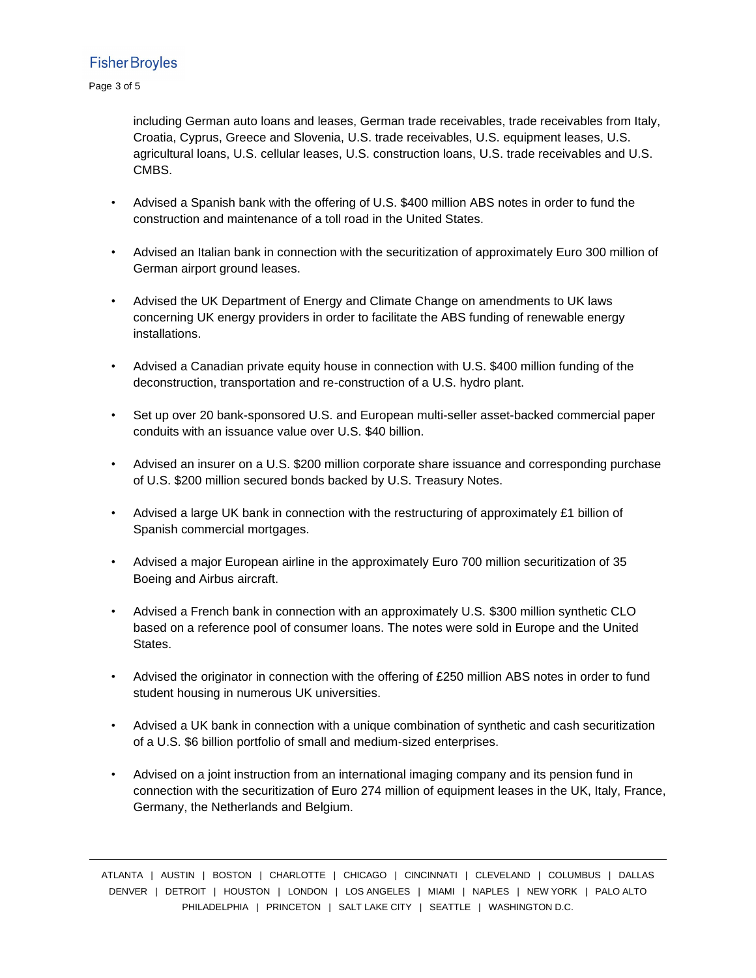Page 3 of 5

including German auto loans and leases, German trade receivables, trade receivables from Italy, Croatia, Cyprus, Greece and Slovenia, U.S. trade receivables, U.S. equipment leases, U.S. agricultural loans, U.S. cellular leases, U.S. construction loans, U.S. trade receivables and U.S. CMBS.

- Advised a Spanish bank with the offering of U.S. \$400 million ABS notes in order to fund the construction and maintenance of a toll road in the United States.
- Advised an Italian bank in connection with the securitization of approximately Euro 300 million of German airport ground leases.
- Advised the UK Department of Energy and Climate Change on amendments to UK laws concerning UK energy providers in order to facilitate the ABS funding of renewable energy installations.
- Advised a Canadian private equity house in connection with U.S. \$400 million funding of the deconstruction, transportation and re-construction of a U.S. hydro plant.
- Set up over 20 bank-sponsored U.S. and European multi-seller asset-backed commercial paper conduits with an issuance value over U.S. \$40 billion.
- Advised an insurer on a U.S. \$200 million corporate share issuance and corresponding purchase of U.S. \$200 million secured bonds backed by U.S. Treasury Notes.
- Advised a large UK bank in connection with the restructuring of approximately £1 billion of Spanish commercial mortgages.
- Advised a major European airline in the approximately Euro 700 million securitization of 35 Boeing and Airbus aircraft.
- Advised a French bank in connection with an approximately U.S. \$300 million synthetic CLO based on a reference pool of consumer loans. The notes were sold in Europe and the United States.
- Advised the originator in connection with the offering of £250 million ABS notes in order to fund student housing in numerous UK universities.
- Advised a UK bank in connection with a unique combination of synthetic and cash securitization of a U.S. \$6 billion portfolio of small and medium-sized enterprises.
- Advised on a joint instruction from an international imaging company and its pension fund in connection with the securitization of Euro 274 million of equipment leases in the UK, Italy, France, Germany, the Netherlands and Belgium.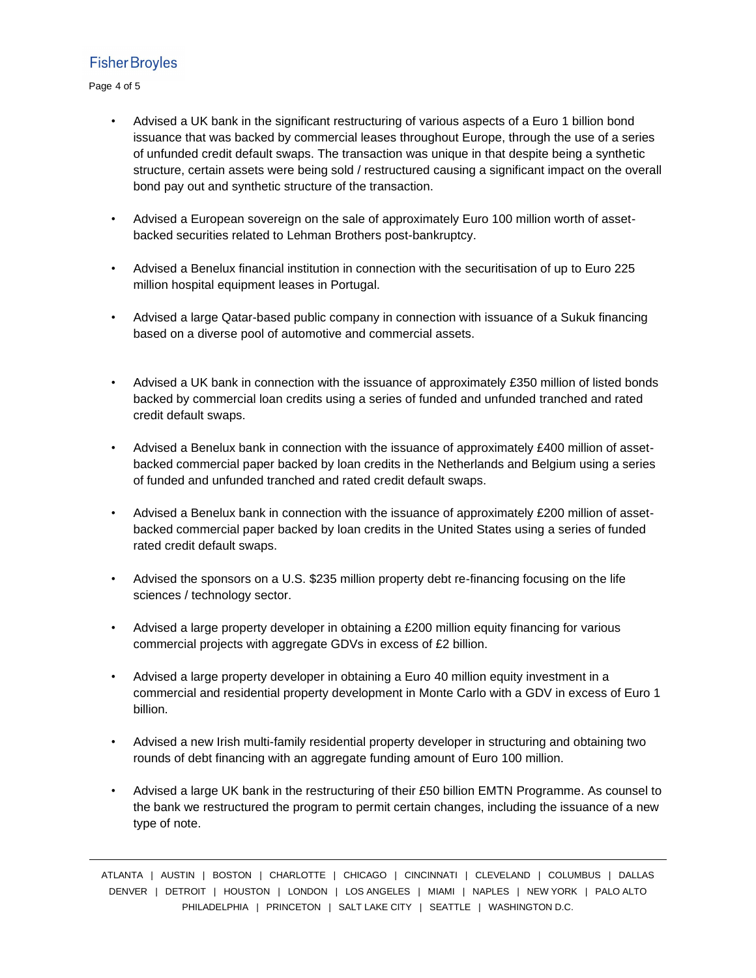Page 4 of 5

- Advised a UK bank in the significant restructuring of various aspects of a Euro 1 billion bond issuance that was backed by commercial leases throughout Europe, through the use of a series of unfunded credit default swaps. The transaction was unique in that despite being a synthetic structure, certain assets were being sold / restructured causing a significant impact on the overall bond pay out and synthetic structure of the transaction.
- Advised a European sovereign on the sale of approximately Euro 100 million worth of assetbacked securities related to Lehman Brothers post-bankruptcy.
- Advised a Benelux financial institution in connection with the securitisation of up to Euro 225 million hospital equipment leases in Portugal.
- Advised a large Qatar-based public company in connection with issuance of a Sukuk financing based on a diverse pool of automotive and commercial assets.
- Advised a UK bank in connection with the issuance of approximately £350 million of listed bonds backed by commercial loan credits using a series of funded and unfunded tranched and rated credit default swaps.
- Advised a Benelux bank in connection with the issuance of approximately £400 million of assetbacked commercial paper backed by loan credits in the Netherlands and Belgium using a series of funded and unfunded tranched and rated credit default swaps.
- Advised a Benelux bank in connection with the issuance of approximately £200 million of assetbacked commercial paper backed by loan credits in the United States using a series of funded rated credit default swaps.
- Advised the sponsors on a U.S. \$235 million property debt re-financing focusing on the life sciences / technology sector.
- Advised a large property developer in obtaining a £200 million equity financing for various commercial projects with aggregate GDVs in excess of £2 billion.
- Advised a large property developer in obtaining a Euro 40 million equity investment in a commercial and residential property development in Monte Carlo with a GDV in excess of Euro 1 billion.
- Advised a new Irish multi-family residential property developer in structuring and obtaining two rounds of debt financing with an aggregate funding amount of Euro 100 million.
- Advised a large UK bank in the restructuring of their £50 billion EMTN Programme. As counsel to the bank we restructured the program to permit certain changes, including the issuance of a new type of note.